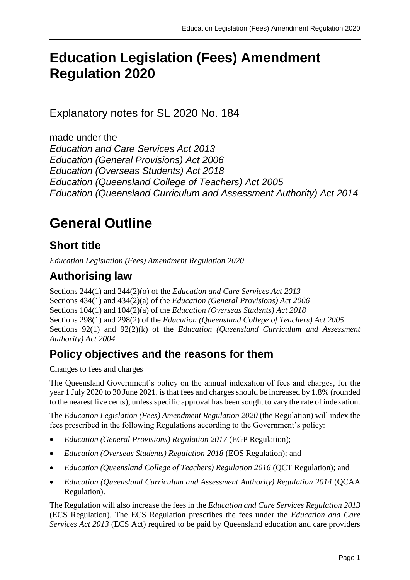# **Education Legislation (Fees) Amendment Regulation 2020**

Explanatory notes for SL 2020 No. 184

made under the *Education and Care Services Act 2013 Education (General Provisions) Act 2006 Education (Overseas Students) Act 2018 Education (Queensland College of Teachers) Act 2005 Education (Queensland Curriculum and Assessment Authority) Act 2014*

# **General Outline**

# **Short title**

*Education Legislation (Fees) Amendment Regulation 2020*

# **Authorising law**

Sections 244(1) and 244(2)(o) of the *Education and Care Services Act 2013* Sections 434(1) and 434(2)(a) of the *Education (General Provisions) Act 2006* Sections 104(1) and 104(2)(a) of the *Education (Overseas Students) Act 2018* Sections 298(1) and 298(2) of the *Education (Queensland College of Teachers) Act 2005* Sections 92(1) and 92(2)(k) of the *Education (Queensland Curriculum and Assessment Authority) Act 2004*

## **Policy objectives and the reasons for them**

Changes to fees and charges

The Queensland Government's policy on the annual indexation of fees and charges, for the year 1 July 2020 to 30 June 2021, is that fees and charges should be increased by 1.8% (rounded to the nearest five cents), unless specific approval has been sought to vary the rate of indexation.

The *Education Legislation (Fees) Amendment Regulation 2020* (the Regulation) will index the fees prescribed in the following Regulations according to the Government's policy:

- *Education (General Provisions) Regulation 2017* (EGP Regulation);
- *Education (Overseas Students) Regulation 2018* (EOS Regulation); and
- *Education (Queensland College of Teachers) Regulation 2016* (QCT Regulation); and
- *Education (Queensland Curriculum and Assessment Authority) Regulation 2014* (QCAA Regulation).

The Regulation will also increase the fees in the *Education and Care Services Regulation 2013* (ECS Regulation). The ECS Regulation prescribes the fees under the *Education and Care Services Act 2013* (ECS Act) required to be paid by Queensland education and care providers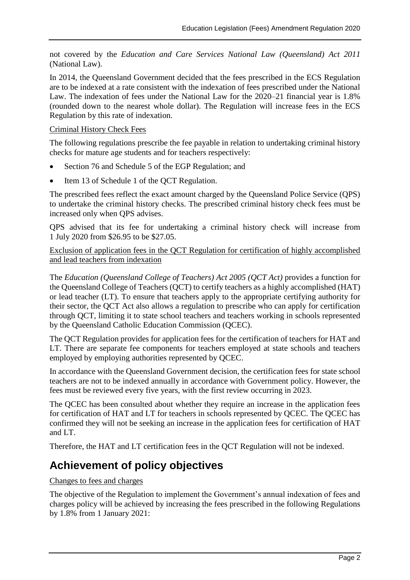not covered by the *Education and Care Services National Law (Queensland) Act 2011* (National Law).

In 2014, the Queensland Government decided that the fees prescribed in the ECS Regulation are to be indexed at a rate consistent with the indexation of fees prescribed under the National Law. The indexation of fees under the National Law for the 2020–21 financial year is 1.8% (rounded down to the nearest whole dollar). The Regulation will increase fees in the ECS Regulation by this rate of indexation.

#### Criminal History Check Fees

The following regulations prescribe the fee payable in relation to undertaking criminal history checks for mature age students and for teachers respectively:

- Section 76 and Schedule 5 of the EGP Regulation; and
- Item 13 of Schedule 1 of the QCT Regulation.

The prescribed fees reflect the exact amount charged by the Queensland Police Service (QPS) to undertake the criminal history checks. The prescribed criminal history check fees must be increased only when QPS advises.

QPS advised that its fee for undertaking a criminal history check will increase from 1 July 2020 from \$26.95 to be \$27.05.

Exclusion of application fees in the QCT Regulation for certification of highly accomplished and lead teachers from indexation

The *Education (Queensland College of Teachers) Act 2005 (QCT Act)* provides a function for the Queensland College of Teachers (QCT) to certify teachers as a highly accomplished (HAT) or lead teacher (LT). To ensure that teachers apply to the appropriate certifying authority for their sector, the QCT Act also allows a regulation to prescribe who can apply for certification through QCT, limiting it to state school teachers and teachers working in schools represented by the Queensland Catholic Education Commission (QCEC).

The QCT Regulation provides for application fees for the certification of teachers for HAT and LT. There are separate fee components for teachers employed at state schools and teachers employed by employing authorities represented by QCEC.

In accordance with the Queensland Government decision, the certification fees for state school teachers are not to be indexed annually in accordance with Government policy. However, the fees must be reviewed every five years, with the first review occurring in 2023.

The QCEC has been consulted about whether they require an increase in the application fees for certification of HAT and LT for teachers in schools represented by QCEC. The QCEC has confirmed they will not be seeking an increase in the application fees for certification of HAT and LT.

Therefore, the HAT and LT certification fees in the QCT Regulation will not be indexed.

## **Achievement of policy objectives**

#### Changes to fees and charges

The objective of the Regulation to implement the Government's annual indexation of fees and charges policy will be achieved by increasing the fees prescribed in the following Regulations by 1.8% from 1 January 2021: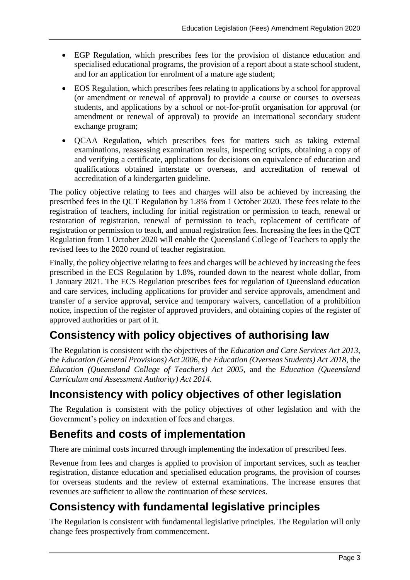- EGP Regulation, which prescribes fees for the provision of distance education and specialised educational programs, the provision of a report about a state school student, and for an application for enrolment of a mature age student;
- EOS Regulation, which prescribes fees relating to applications by a school for approval (or amendment or renewal of approval) to provide a course or courses to overseas students, and applications by a school or not-for-profit organisation for approval (or amendment or renewal of approval) to provide an international secondary student exchange program;
- OCAA Regulation, which prescribes fees for matters such as taking external examinations, reassessing examination results, inspecting scripts, obtaining a copy of and verifying a certificate, applications for decisions on equivalence of education and qualifications obtained interstate or overseas, and accreditation of renewal of accreditation of a kindergarten guideline.

The policy objective relating to fees and charges will also be achieved by increasing the prescribed fees in the QCT Regulation by 1.8% from 1 October 2020. These fees relate to the registration of teachers, including for initial registration or permission to teach, renewal or restoration of registration, renewal of permission to teach, replacement of certificate of registration or permission to teach, and annual registration fees. Increasing the fees in the QCT Regulation from 1 October 2020 will enable the Queensland College of Teachers to apply the revised fees to the 2020 round of teacher registration.

Finally, the policy objective relating to fees and charges will be achieved by increasing the fees prescribed in the ECS Regulation by 1.8%, rounded down to the nearest whole dollar, from 1 January 2021. The ECS Regulation prescribes fees for regulation of Queensland education and care services, including applications for provider and service approvals, amendment and transfer of a service approval, service and temporary waivers, cancellation of a prohibition notice, inspection of the register of approved providers, and obtaining copies of the register of approved authorities or part of it.

# **Consistency with policy objectives of authorising law**

The Regulation is consistent with the objectives of the *Education and Care Services Act 2013*, the *Education (General Provisions) Act 2006*, the *Education (Overseas Students) Act 2018*, the *Education (Queensland College of Teachers) Act 2005,* and the *Education (Queensland Curriculum and Assessment Authority) Act 2014.*

# **Inconsistency with policy objectives of other legislation**

The Regulation is consistent with the policy objectives of other legislation and with the Government's policy on indexation of fees and charges.

# **Benefits and costs of implementation**

There are minimal costs incurred through implementing the indexation of prescribed fees.

Revenue from fees and charges is applied to provision of important services, such as teacher registration, distance education and specialised education programs, the provision of courses for overseas students and the review of external examinations. The increase ensures that revenues are sufficient to allow the continuation of these services.

## **Consistency with fundamental legislative principles**

The Regulation is consistent with fundamental legislative principles. The Regulation will only change fees prospectively from commencement.